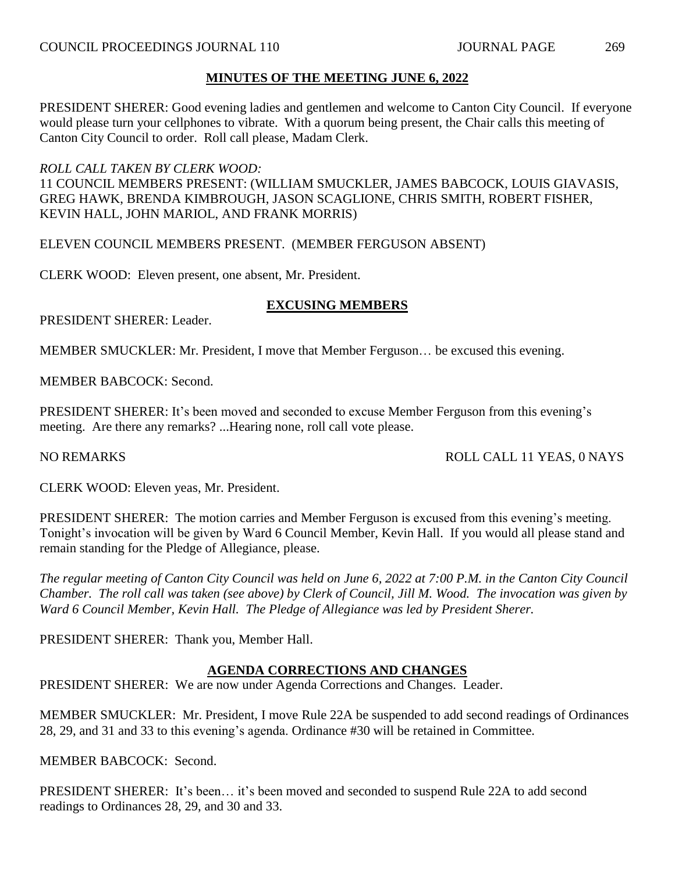PRESIDENT SHERER: Good evening ladies and gentlemen and welcome to Canton City Council. If everyone would please turn your cellphones to vibrate. With a quorum being present, the Chair calls this meeting of Canton City Council to order. Roll call please, Madam Clerk.

## *ROLL CALL TAKEN BY CLERK WOOD:*

11 COUNCIL MEMBERS PRESENT: (WILLIAM SMUCKLER, JAMES BABCOCK, LOUIS GIAVASIS, GREG HAWK, BRENDA KIMBROUGH, JASON SCAGLIONE, CHRIS SMITH, ROBERT FISHER, KEVIN HALL, JOHN MARIOL, AND FRANK MORRIS)

ELEVEN COUNCIL MEMBERS PRESENT. (MEMBER FERGUSON ABSENT)

CLERK WOOD: Eleven present, one absent, Mr. President.

## **EXCUSING MEMBERS**

PRESIDENT SHERER: Leader.

MEMBER SMUCKLER: Mr. President, I move that Member Ferguson… be excused this evening.

MEMBER BABCOCK: Second.

PRESIDENT SHERER: It's been moved and seconded to excuse Member Ferguson from this evening's meeting. Are there any remarks? ...Hearing none, roll call vote please.

## NO REMARKS ROLL CALL 11 YEAS, 0 NAYS

CLERK WOOD: Eleven yeas, Mr. President.

PRESIDENT SHERER: The motion carries and Member Ferguson is excused from this evening's meeting. Tonight's invocation will be given by Ward 6 Council Member, Kevin Hall. If you would all please stand and remain standing for the Pledge of Allegiance, please.

*The regular meeting of Canton City Council was held on June 6, 2022 at 7:00 P.M. in the Canton City Council Chamber. The roll call was taken (see above) by Clerk of Council, Jill M. Wood. The invocation was given by Ward 6 Council Member, Kevin Hall. The Pledge of Allegiance was led by President Sherer.*

PRESIDENT SHERER: Thank you, Member Hall.

## **AGENDA CORRECTIONS AND CHANGES**

PRESIDENT SHERER: We are now under Agenda Corrections and Changes. Leader.

MEMBER SMUCKLER: Mr. President, I move Rule 22A be suspended to add second readings of Ordinances 28, 29, and 31 and 33 to this evening's agenda. Ordinance #30 will be retained in Committee.

MEMBER BABCOCK: Second.

PRESIDENT SHERER: It's been… it's been moved and seconded to suspend Rule 22A to add second readings to Ordinances 28, 29, and 30 and 33.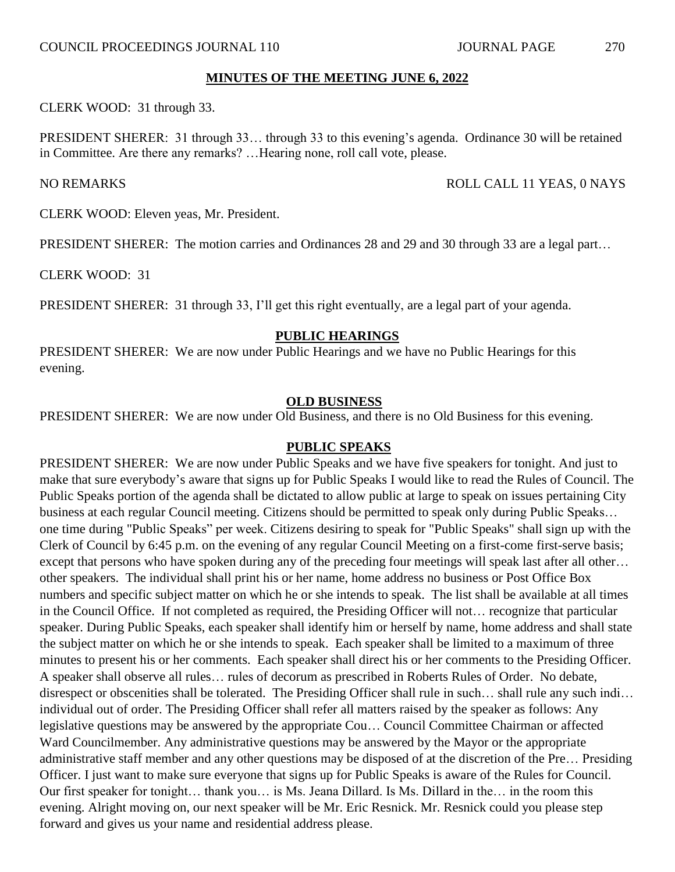CLERK WOOD: 31 through 33.

PRESIDENT SHERER: 31 through 33… through 33 to this evening's agenda. Ordinance 30 will be retained in Committee. Are there any remarks? …Hearing none, roll call vote, please.

#### NO REMARKS ROLL CALL 11 YEAS, 0 NAYS

CLERK WOOD: Eleven yeas, Mr. President.

PRESIDENT SHERER: The motion carries and Ordinances 28 and 29 and 30 through 33 are a legal part…

CLERK WOOD: 31

PRESIDENT SHERER: 31 through 33, I'll get this right eventually, are a legal part of your agenda.

#### **PUBLIC HEARINGS**

PRESIDENT SHERER: We are now under Public Hearings and we have no Public Hearings for this evening.

#### **OLD BUSINESS**

PRESIDENT SHERER: We are now under Old Business, and there is no Old Business for this evening.

#### **PUBLIC SPEAKS**

PRESIDENT SHERER: We are now under Public Speaks and we have five speakers for tonight. And just to make that sure everybody's aware that signs up for Public Speaks I would like to read the Rules of Council. The Public Speaks portion of the agenda shall be dictated to allow public at large to speak on issues pertaining City business at each regular Council meeting. Citizens should be permitted to speak only during Public Speaks… one time during "Public Speaks" per week. Citizens desiring to speak for "Public Speaks" shall sign up with the Clerk of Council by 6:45 p.m. on the evening of any regular Council Meeting on a first-come first-serve basis; except that persons who have spoken during any of the preceding four meetings will speak last after all other… other speakers. The individual shall print his or her name, home address no business or Post Office Box numbers and specific subject matter on which he or she intends to speak. The list shall be available at all times in the Council Office. If not completed as required, the Presiding Officer will not… recognize that particular speaker. During Public Speaks, each speaker shall identify him or herself by name, home address and shall state the subject matter on which he or she intends to speak. Each speaker shall be limited to a maximum of three minutes to present his or her comments. Each speaker shall direct his or her comments to the Presiding Officer. A speaker shall observe all rules… rules of decorum as prescribed in Roberts Rules of Order. No debate, disrespect or obscenities shall be tolerated. The Presiding Officer shall rule in such… shall rule any such indi… individual out of order. The Presiding Officer shall refer all matters raised by the speaker as follows: Any legislative questions may be answered by the appropriate Cou… Council Committee Chairman or affected Ward Councilmember. Any administrative questions may be answered by the Mayor or the appropriate administrative staff member and any other questions may be disposed of at the discretion of the Pre… Presiding Officer. I just want to make sure everyone that signs up for Public Speaks is aware of the Rules for Council. Our first speaker for tonight… thank you… is Ms. Jeana Dillard. Is Ms. Dillard in the… in the room this evening. Alright moving on, our next speaker will be Mr. Eric Resnick. Mr. Resnick could you please step forward and gives us your name and residential address please.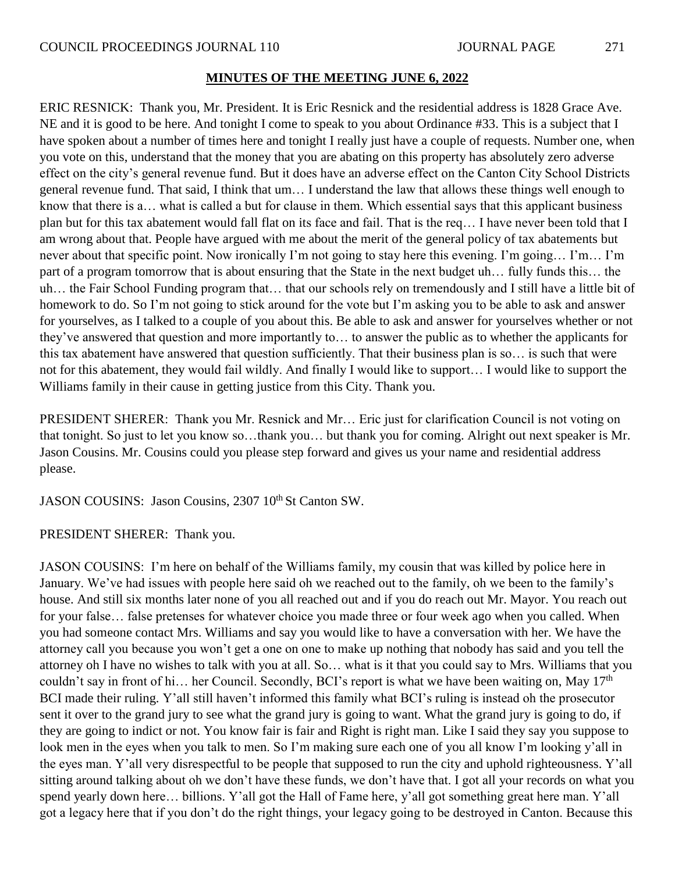ERIC RESNICK: Thank you, Mr. President. It is Eric Resnick and the residential address is 1828 Grace Ave. NE and it is good to be here. And tonight I come to speak to you about Ordinance #33. This is a subject that I have spoken about a number of times here and tonight I really just have a couple of requests. Number one, when you vote on this, understand that the money that you are abating on this property has absolutely zero adverse effect on the city's general revenue fund. But it does have an adverse effect on the Canton City School Districts general revenue fund. That said, I think that um… I understand the law that allows these things well enough to know that there is a… what is called a but for clause in them. Which essential says that this applicant business plan but for this tax abatement would fall flat on its face and fail. That is the req… I have never been told that I am wrong about that. People have argued with me about the merit of the general policy of tax abatements but never about that specific point. Now ironically I'm not going to stay here this evening. I'm going… I'm… I'm part of a program tomorrow that is about ensuring that the State in the next budget uh… fully funds this… the uh… the Fair School Funding program that… that our schools rely on tremendously and I still have a little bit of homework to do. So I'm not going to stick around for the vote but I'm asking you to be able to ask and answer for yourselves, as I talked to a couple of you about this. Be able to ask and answer for yourselves whether or not they've answered that question and more importantly to… to answer the public as to whether the applicants for this tax abatement have answered that question sufficiently. That their business plan is so… is such that were not for this abatement, they would fail wildly. And finally I would like to support… I would like to support the Williams family in their cause in getting justice from this City. Thank you.

PRESIDENT SHERER: Thank you Mr. Resnick and Mr… Eric just for clarification Council is not voting on that tonight. So just to let you know so…thank you… but thank you for coming. Alright out next speaker is Mr. Jason Cousins. Mr. Cousins could you please step forward and gives us your name and residential address please.

JASON COUSINS: Jason Cousins, 2307 10<sup>th</sup> St Canton SW.

PRESIDENT SHERER: Thank you.

JASON COUSINS: I'm here on behalf of the Williams family, my cousin that was killed by police here in January. We've had issues with people here said oh we reached out to the family, oh we been to the family's house. And still six months later none of you all reached out and if you do reach out Mr. Mayor. You reach out for your false… false pretenses for whatever choice you made three or four week ago when you called. When you had someone contact Mrs. Williams and say you would like to have a conversation with her. We have the attorney call you because you won't get a one on one to make up nothing that nobody has said and you tell the attorney oh I have no wishes to talk with you at all. So… what is it that you could say to Mrs. Williams that you couldn't say in front of hi... her Council. Secondly, BCI's report is what we have been waiting on, May  $17<sup>th</sup>$ BCI made their ruling. Y'all still haven't informed this family what BCI's ruling is instead oh the prosecutor sent it over to the grand jury to see what the grand jury is going to want. What the grand jury is going to do, if they are going to indict or not. You know fair is fair and Right is right man. Like I said they say you suppose to look men in the eyes when you talk to men. So I'm making sure each one of you all know I'm looking y'all in the eyes man. Y'all very disrespectful to be people that supposed to run the city and uphold righteousness. Y'all sitting around talking about oh we don't have these funds, we don't have that. I got all your records on what you spend yearly down here… billions. Y'all got the Hall of Fame here, y'all got something great here man. Y'all got a legacy here that if you don't do the right things, your legacy going to be destroyed in Canton. Because this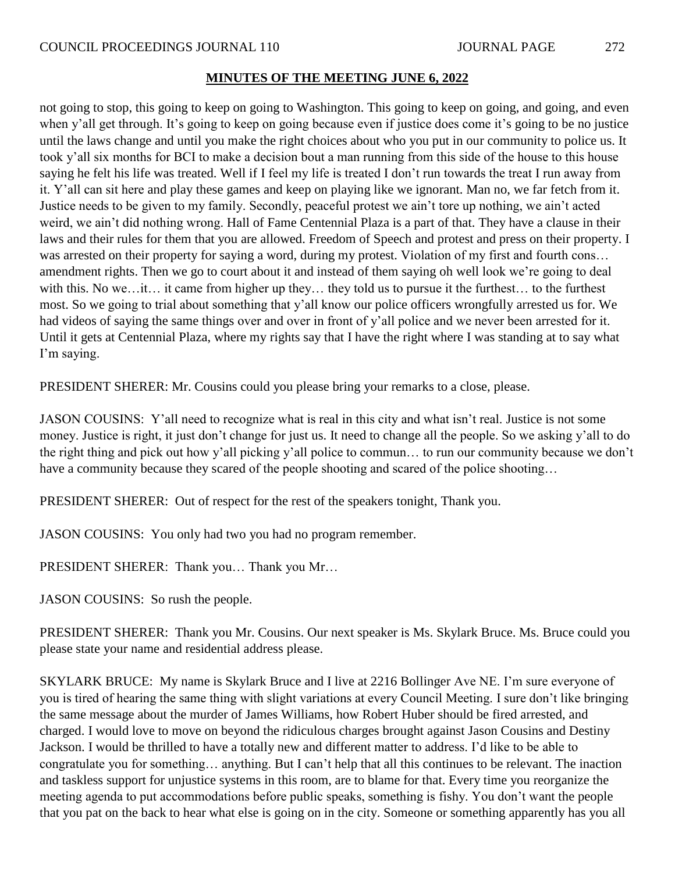not going to stop, this going to keep on going to Washington. This going to keep on going, and going, and even when y'all get through. It's going to keep on going because even if justice does come it's going to be no justice until the laws change and until you make the right choices about who you put in our community to police us. It took y'all six months for BCI to make a decision bout a man running from this side of the house to this house saying he felt his life was treated. Well if I feel my life is treated I don't run towards the treat I run away from it. Y'all can sit here and play these games and keep on playing like we ignorant. Man no, we far fetch from it. Justice needs to be given to my family. Secondly, peaceful protest we ain't tore up nothing, we ain't acted weird, we ain't did nothing wrong. Hall of Fame Centennial Plaza is a part of that. They have a clause in their laws and their rules for them that you are allowed. Freedom of Speech and protest and press on their property. I was arrested on their property for saying a word, during my protest. Violation of my first and fourth cons... amendment rights. Then we go to court about it and instead of them saying oh well look we're going to deal with this. No we…it… it came from higher up they… they told us to pursue it the furthest… to the furthest most. So we going to trial about something that y'all know our police officers wrongfully arrested us for. We had videos of saying the same things over and over in front of y'all police and we never been arrested for it. Until it gets at Centennial Plaza, where my rights say that I have the right where I was standing at to say what I'm saying.

PRESIDENT SHERER: Mr. Cousins could you please bring your remarks to a close, please.

JASON COUSINS: Y'all need to recognize what is real in this city and what isn't real. Justice is not some money. Justice is right, it just don't change for just us. It need to change all the people. So we asking y'all to do the right thing and pick out how y'all picking y'all police to commun… to run our community because we don't have a community because they scared of the people shooting and scared of the police shooting...

PRESIDENT SHERER: Out of respect for the rest of the speakers tonight, Thank you.

JASON COUSINS: You only had two you had no program remember.

PRESIDENT SHERER: Thank you… Thank you Mr…

JASON COUSINS: So rush the people.

PRESIDENT SHERER: Thank you Mr. Cousins. Our next speaker is Ms. Skylark Bruce. Ms. Bruce could you please state your name and residential address please.

SKYLARK BRUCE: My name is Skylark Bruce and I live at 2216 Bollinger Ave NE. I'm sure everyone of you is tired of hearing the same thing with slight variations at every Council Meeting. I sure don't like bringing the same message about the murder of James Williams, how Robert Huber should be fired arrested, and charged. I would love to move on beyond the ridiculous charges brought against Jason Cousins and Destiny Jackson. I would be thrilled to have a totally new and different matter to address. I'd like to be able to congratulate you for something… anything. But I can't help that all this continues to be relevant. The inaction and taskless support for unjustice systems in this room, are to blame for that. Every time you reorganize the meeting agenda to put accommodations before public speaks, something is fishy. You don't want the people that you pat on the back to hear what else is going on in the city. Someone or something apparently has you all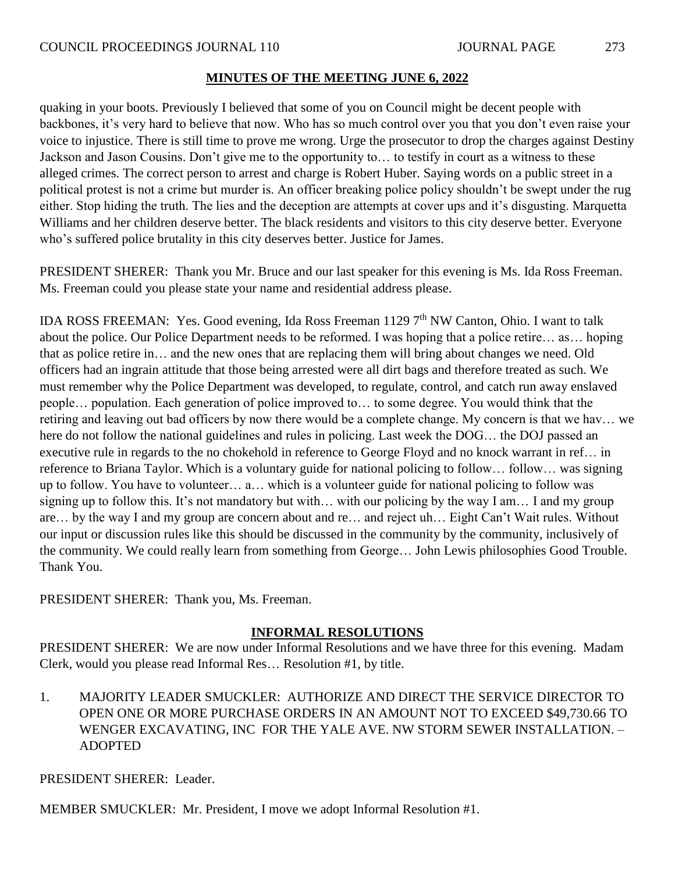quaking in your boots. Previously I believed that some of you on Council might be decent people with backbones, it's very hard to believe that now. Who has so much control over you that you don't even raise your voice to injustice. There is still time to prove me wrong. Urge the prosecutor to drop the charges against Destiny Jackson and Jason Cousins. Don't give me to the opportunity to… to testify in court as a witness to these alleged crimes. The correct person to arrest and charge is Robert Huber. Saying words on a public street in a political protest is not a crime but murder is. An officer breaking police policy shouldn't be swept under the rug either. Stop hiding the truth. The lies and the deception are attempts at cover ups and it's disgusting. Marquetta Williams and her children deserve better. The black residents and visitors to this city deserve better. Everyone who's suffered police brutality in this city deserves better. Justice for James.

PRESIDENT SHERER: Thank you Mr. Bruce and our last speaker for this evening is Ms. Ida Ross Freeman. Ms. Freeman could you please state your name and residential address please.

IDA ROSS FREEMAN: Yes. Good evening, Ida Ross Freeman 1129 7<sup>th</sup> NW Canton, Ohio. I want to talk about the police. Our Police Department needs to be reformed. I was hoping that a police retire… as… hoping that as police retire in… and the new ones that are replacing them will bring about changes we need. Old officers had an ingrain attitude that those being arrested were all dirt bags and therefore treated as such. We must remember why the Police Department was developed, to regulate, control, and catch run away enslaved people… population. Each generation of police improved to… to some degree. You would think that the retiring and leaving out bad officers by now there would be a complete change. My concern is that we hav… we here do not follow the national guidelines and rules in policing. Last week the DOG... the DOJ passed an executive rule in regards to the no chokehold in reference to George Floyd and no knock warrant in ref… in reference to Briana Taylor. Which is a voluntary guide for national policing to follow… follow… was signing up to follow. You have to volunteer… a… which is a volunteer guide for national policing to follow was signing up to follow this. It's not mandatory but with… with our policing by the way I am… I and my group are… by the way I and my group are concern about and re… and reject uh… Eight Can't Wait rules. Without our input or discussion rules like this should be discussed in the community by the community, inclusively of the community. We could really learn from something from George… John Lewis philosophies Good Trouble. Thank You.

PRESIDENT SHERER: Thank you, Ms. Freeman.

## **INFORMAL RESOLUTIONS**

PRESIDENT SHERER: We are now under Informal Resolutions and we have three for this evening. Madam Clerk, would you please read Informal Res… Resolution #1, by title.

1. MAJORITY LEADER SMUCKLER: AUTHORIZE AND DIRECT THE SERVICE DIRECTOR TO OPEN ONE OR MORE PURCHASE ORDERS IN AN AMOUNT NOT TO EXCEED \$49,730.66 TO WENGER EXCAVATING, INC FOR THE YALE AVE. NW STORM SEWER INSTALLATION. – ADOPTED

PRESIDENT SHERER: Leader.

MEMBER SMUCKLER: Mr. President, I move we adopt Informal Resolution #1.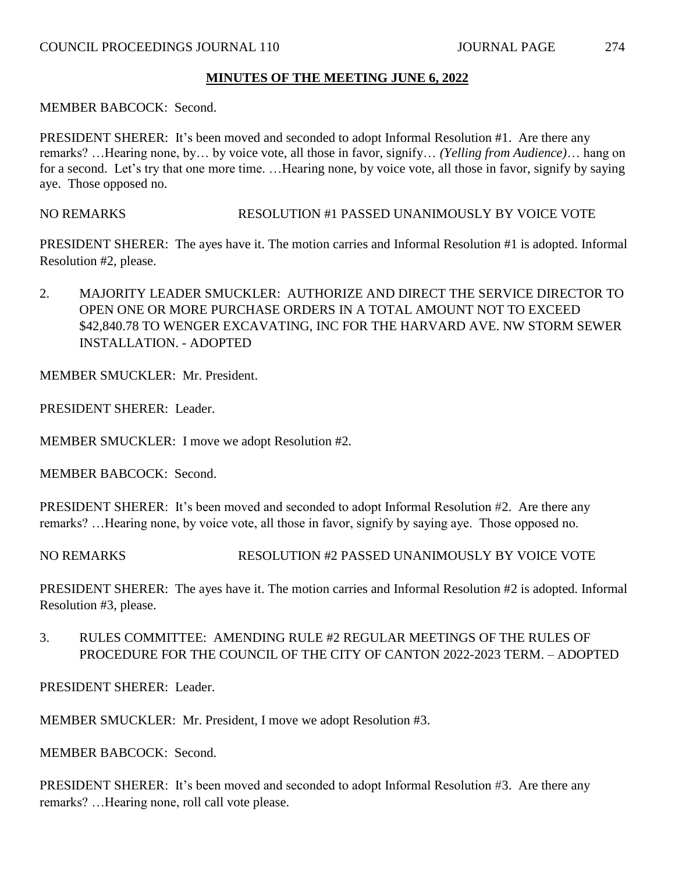MEMBER BABCOCK: Second.

PRESIDENT SHERER: It's been moved and seconded to adopt Informal Resolution #1. Are there any remarks? …Hearing none, by… by voice vote, all those in favor, signify… *(Yelling from Audience)*… hang on for a second. Let's try that one more time. …Hearing none, by voice vote, all those in favor, signify by saying aye. Those opposed no.

NO REMARKS RESOLUTION #1 PASSED UNANIMOUSLY BY VOICE VOTE

PRESIDENT SHERER: The ayes have it. The motion carries and Informal Resolution #1 is adopted. Informal Resolution #2, please.

2. MAJORITY LEADER SMUCKLER: AUTHORIZE AND DIRECT THE SERVICE DIRECTOR TO OPEN ONE OR MORE PURCHASE ORDERS IN A TOTAL AMOUNT NOT TO EXCEED \$42,840.78 TO WENGER EXCAVATING, INC FOR THE HARVARD AVE. NW STORM SEWER INSTALLATION. - ADOPTED

MEMBER SMUCKLER: Mr. President.

PRESIDENT SHERER: Leader.

MEMBER SMUCKLER: I move we adopt Resolution #2.

MEMBER BABCOCK: Second.

PRESIDENT SHERER: It's been moved and seconded to adopt Informal Resolution #2. Are there any remarks? …Hearing none, by voice vote, all those in favor, signify by saying aye. Those opposed no.

NO REMARKS RESOLUTION #2 PASSED UNANIMOUSLY BY VOICE VOTE

PRESIDENT SHERER: The ayes have it. The motion carries and Informal Resolution #2 is adopted. Informal Resolution #3, please.

3. RULES COMMITTEE: AMENDING RULE #2 REGULAR MEETINGS OF THE RULES OF PROCEDURE FOR THE COUNCIL OF THE CITY OF CANTON 2022-2023 TERM. – ADOPTED

PRESIDENT SHERER: Leader.

MEMBER SMUCKLER: Mr. President, I move we adopt Resolution #3.

MEMBER BABCOCK: Second.

PRESIDENT SHERER: It's been moved and seconded to adopt Informal Resolution #3. Are there any remarks? …Hearing none, roll call vote please.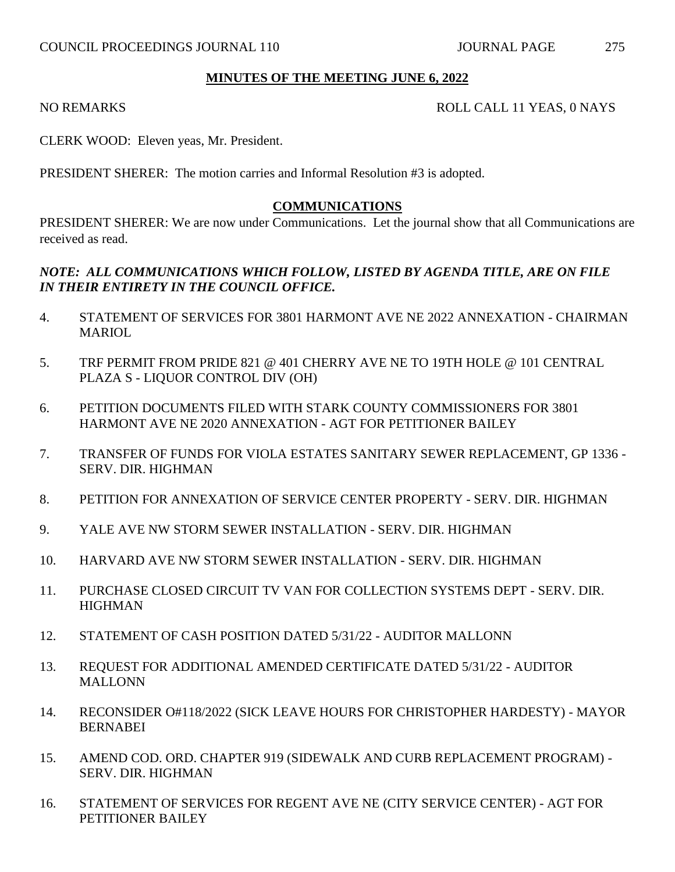#### NO REMARKS ROLL CALL 11 YEAS, 0 NAYS

CLERK WOOD: Eleven yeas, Mr. President.

PRESIDENT SHERER: The motion carries and Informal Resolution #3 is adopted.

#### **COMMUNICATIONS**

PRESIDENT SHERER: We are now under Communications. Let the journal show that all Communications are received as read.

## *NOTE: ALL COMMUNICATIONS WHICH FOLLOW, LISTED BY AGENDA TITLE, ARE ON FILE IN THEIR ENTIRETY IN THE COUNCIL OFFICE.*

- 4. STATEMENT OF SERVICES FOR 3801 HARMONT AVE NE 2022 ANNEXATION CHAIRMAN **MARIOL**
- 5. TRF PERMIT FROM PRIDE 821 @ 401 CHERRY AVE NE TO 19TH HOLE @ 101 CENTRAL PLAZA S - LIQUOR CONTROL DIV (OH)
- 6. PETITION DOCUMENTS FILED WITH STARK COUNTY COMMISSIONERS FOR 3801 HARMONT AVE NE 2020 ANNEXATION - AGT FOR PETITIONER BAILEY
- 7. TRANSFER OF FUNDS FOR VIOLA ESTATES SANITARY SEWER REPLACEMENT, GP 1336 SERV. DIR. HIGHMAN
- 8. PETITION FOR ANNEXATION OF SERVICE CENTER PROPERTY SERV. DIR. HIGHMAN
- 9. YALE AVE NW STORM SEWER INSTALLATION SERV. DIR. HIGHMAN
- 10. HARVARD AVE NW STORM SEWER INSTALLATION SERV. DIR. HIGHMAN
- 11. PURCHASE CLOSED CIRCUIT TV VAN FOR COLLECTION SYSTEMS DEPT SERV. DIR. **HIGHMAN**
- 12. STATEMENT OF CASH POSITION DATED 5/31/22 AUDITOR MALLONN
- 13. REQUEST FOR ADDITIONAL AMENDED CERTIFICATE DATED 5/31/22 AUDITOR **MALLONN**
- 14. RECONSIDER O#118/2022 (SICK LEAVE HOURS FOR CHRISTOPHER HARDESTY) MAYOR BERNABEI
- 15. AMEND COD. ORD. CHAPTER 919 (SIDEWALK AND CURB REPLACEMENT PROGRAM) SERV. DIR. HIGHMAN
- 16. STATEMENT OF SERVICES FOR REGENT AVE NE (CITY SERVICE CENTER) AGT FOR PETITIONER BAILEY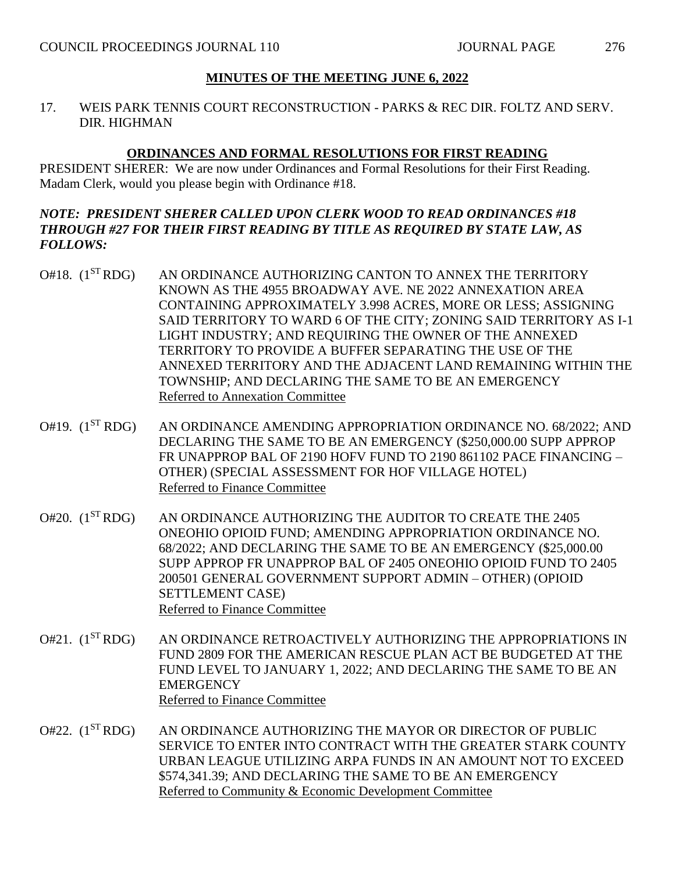17. WEIS PARK TENNIS COURT RECONSTRUCTION - PARKS & REC DIR. FOLTZ AND SERV. DIR. HIGHMAN

#### **ORDINANCES AND FORMAL RESOLUTIONS FOR FIRST READING**

PRESIDENT SHERER: We are now under Ordinances and Formal Resolutions for their First Reading. Madam Clerk, would you please begin with Ordinance #18.

## *NOTE: PRESIDENT SHERER CALLED UPON CLERK WOOD TO READ ORDINANCES #18 THROUGH #27 FOR THEIR FIRST READING BY TITLE AS REQUIRED BY STATE LAW, AS FOLLOWS:*

- O#18. (1<sup>ST</sup> RDG) AN ORDINANCE AUTHORIZING CANTON TO ANNEX THE TERRITORY KNOWN AS THE 4955 BROADWAY AVE. NE 2022 ANNEXATION AREA CONTAINING APPROXIMATELY 3.998 ACRES, MORE OR LESS; ASSIGNING SAID TERRITORY TO WARD 6 OF THE CITY; ZONING SAID TERRITORY AS I-1 LIGHT INDUSTRY; AND REQUIRING THE OWNER OF THE ANNEXED TERRITORY TO PROVIDE A BUFFER SEPARATING THE USE OF THE ANNEXED TERRITORY AND THE ADJACENT LAND REMAINING WITHIN THE TOWNSHIP; AND DECLARING THE SAME TO BE AN EMERGENCY Referred to Annexation Committee
- O#19. (1<sup>ST</sup> RDG) AN ORDINANCE AMENDING APPROPRIATION ORDINANCE NO. 68/2022; AND DECLARING THE SAME TO BE AN EMERGENCY (\$250,000.00 SUPP APPROP FR UNAPPROP BAL OF 2190 HOFV FUND TO 2190 861102 PACE FINANCING – OTHER) (SPECIAL ASSESSMENT FOR HOF VILLAGE HOTEL) Referred to Finance Committee
- O#20. (1ST RDG) AN ORDINANCE AUTHORIZING THE AUDITOR TO CREATE THE 2405 ONEOHIO OPIOID FUND; AMENDING APPROPRIATION ORDINANCE NO. 68/2022; AND DECLARING THE SAME TO BE AN EMERGENCY (\$25,000.00 SUPP APPROP FR UNAPPROP BAL OF 2405 ONEOHIO OPIOID FUND TO 2405 200501 GENERAL GOVERNMENT SUPPORT ADMIN – OTHER) (OPIOID SETTLEMENT CASE) Referred to Finance Committee
- O#21. (1<sup>ST</sup> RDG) AN ORDINANCE RETROACTIVELY AUTHORIZING THE APPROPRIATIONS IN FUND 2809 FOR THE AMERICAN RESCUE PLAN ACT BE BUDGETED AT THE FUND LEVEL TO JANUARY 1, 2022; AND DECLARING THE SAME TO BE AN **EMERGENCY** Referred to Finance Committee
- O#22. (1<sup>ST</sup> RDG) AN ORDINANCE AUTHORIZING THE MAYOR OR DIRECTOR OF PUBLIC SERVICE TO ENTER INTO CONTRACT WITH THE GREATER STARK COUNTY URBAN LEAGUE UTILIZING ARPA FUNDS IN AN AMOUNT NOT TO EXCEED \$574,341.39; AND DECLARING THE SAME TO BE AN EMERGENCY Referred to Community & Economic Development Committee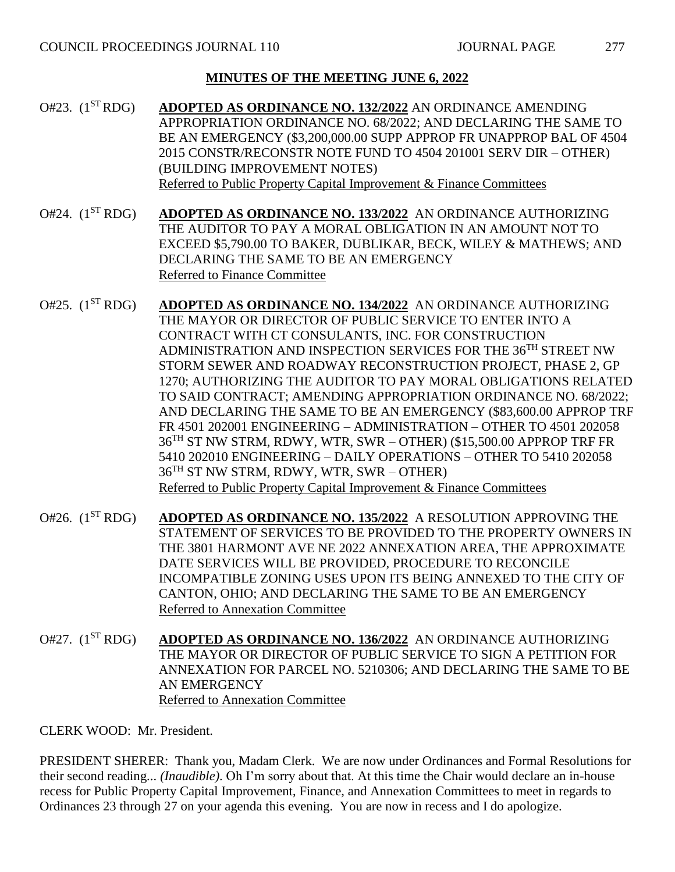- O#23. (1ST RDG) **ADOPTED AS ORDINANCE NO. 132/2022** AN ORDINANCE AMENDING APPROPRIATION ORDINANCE NO. 68/2022; AND DECLARING THE SAME TO BE AN EMERGENCY (\$3,200,000.00 SUPP APPROP FR UNAPPROP BAL OF 4504 2015 CONSTR/RECONSTR NOTE FUND TO 4504 201001 SERV DIR – OTHER) (BUILDING IMPROVEMENT NOTES) Referred to Public Property Capital Improvement & Finance Committees
- O#24. (1ST RDG) **ADOPTED AS ORDINANCE NO. 133/2022** AN ORDINANCE AUTHORIZING THE AUDITOR TO PAY A MORAL OBLIGATION IN AN AMOUNT NOT TO EXCEED \$5,790.00 TO BAKER, DUBLIKAR, BECK, WILEY & MATHEWS; AND DECLARING THE SAME TO BE AN EMERGENCY Referred to Finance Committee
- O#25. (1ST RDG) **ADOPTED AS ORDINANCE NO. 134/2022** AN ORDINANCE AUTHORIZING THE MAYOR OR DIRECTOR OF PUBLIC SERVICE TO ENTER INTO A CONTRACT WITH CT CONSULANTS, INC. FOR CONSTRUCTION ADMINISTRATION AND INSPECTION SERVICES FOR THE 36TH STREET NW STORM SEWER AND ROADWAY RECONSTRUCTION PROJECT, PHASE 2, GP 1270; AUTHORIZING THE AUDITOR TO PAY MORAL OBLIGATIONS RELATED TO SAID CONTRACT; AMENDING APPROPRIATION ORDINANCE NO. 68/2022; AND DECLARING THE SAME TO BE AN EMERGENCY (\$83,600.00 APPROP TRF FR 4501 202001 ENGINEERING – ADMINISTRATION – OTHER TO 4501 202058 36TH ST NW STRM, RDWY, WTR, SWR – OTHER) (\$15,500.00 APPROP TRF FR 5410 202010 ENGINEERING – DAILY OPERATIONS – OTHER TO 5410 202058 36TH ST NW STRM, RDWY, WTR, SWR – OTHER) Referred to Public Property Capital Improvement & Finance Committees
- O#26. (1ST RDG) **ADOPTED AS ORDINANCE NO. 135/2022** A RESOLUTION APPROVING THE STATEMENT OF SERVICES TO BE PROVIDED TO THE PROPERTY OWNERS IN THE 3801 HARMONT AVE NE 2022 ANNEXATION AREA, THE APPROXIMATE DATE SERVICES WILL BE PROVIDED, PROCEDURE TO RECONCILE INCOMPATIBLE ZONING USES UPON ITS BEING ANNEXED TO THE CITY OF CANTON, OHIO; AND DECLARING THE SAME TO BE AN EMERGENCY Referred to Annexation Committee
- O#27. (1ST RDG) **ADOPTED AS ORDINANCE NO. 136/2022** AN ORDINANCE AUTHORIZING THE MAYOR OR DIRECTOR OF PUBLIC SERVICE TO SIGN A PETITION FOR ANNEXATION FOR PARCEL NO. 5210306; AND DECLARING THE SAME TO BE AN EMERGENCY Referred to Annexation Committee

CLERK WOOD: Mr. President.

PRESIDENT SHERER: Thank you, Madam Clerk. We are now under Ordinances and Formal Resolutions for their second reading... *(Inaudible)*. Oh I'm sorry about that. At this time the Chair would declare an in-house recess for Public Property Capital Improvement, Finance, and Annexation Committees to meet in regards to Ordinances 23 through 27 on your agenda this evening. You are now in recess and I do apologize.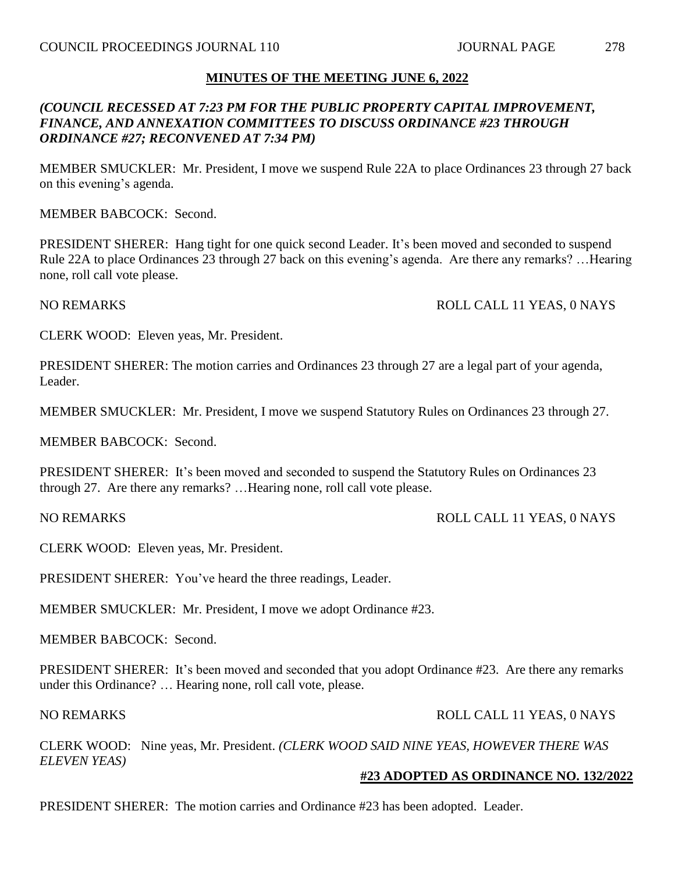## *(COUNCIL RECESSED AT 7:23 PM FOR THE PUBLIC PROPERTY CAPITAL IMPROVEMENT, FINANCE, AND ANNEXATION COMMITTEES TO DISCUSS ORDINANCE #23 THROUGH ORDINANCE #27; RECONVENED AT 7:34 PM)*

MEMBER SMUCKLER: Mr. President, I move we suspend Rule 22A to place Ordinances 23 through 27 back on this evening's agenda.

MEMBER BABCOCK: Second.

PRESIDENT SHERER: Hang tight for one quick second Leader. It's been moved and seconded to suspend Rule 22A to place Ordinances 23 through 27 back on this evening's agenda. Are there any remarks? …Hearing none, roll call vote please.

NO REMARKS ROLL CALL 11 YEAS, 0 NAYS

CLERK WOOD: Eleven yeas, Mr. President.

PRESIDENT SHERER: The motion carries and Ordinances 23 through 27 are a legal part of your agenda, Leader.

MEMBER SMUCKLER: Mr. President, I move we suspend Statutory Rules on Ordinances 23 through 27.

MEMBER BABCOCK: Second.

PRESIDENT SHERER: It's been moved and seconded to suspend the Statutory Rules on Ordinances 23 through 27. Are there any remarks? …Hearing none, roll call vote please.

NO REMARKS ROLL CALL 11 YEAS, 0 NAYS

CLERK WOOD: Eleven yeas, Mr. President.

PRESIDENT SHERER: You've heard the three readings, Leader.

MEMBER SMUCKLER: Mr. President, I move we adopt Ordinance #23.

MEMBER BABCOCK: Second.

PRESIDENT SHERER: It's been moved and seconded that you adopt Ordinance #23. Are there any remarks under this Ordinance? … Hearing none, roll call vote, please.

#### NO REMARKS ROLL CALL 11 YEAS, 0 NAYS

CLERK WOOD: Nine yeas, Mr. President. *(CLERK WOOD SAID NINE YEAS, HOWEVER THERE WAS ELEVEN YEAS)*

#### **#23 ADOPTED AS ORDINANCE NO. 132/2022**

PRESIDENT SHERER: The motion carries and Ordinance #23 has been adopted. Leader.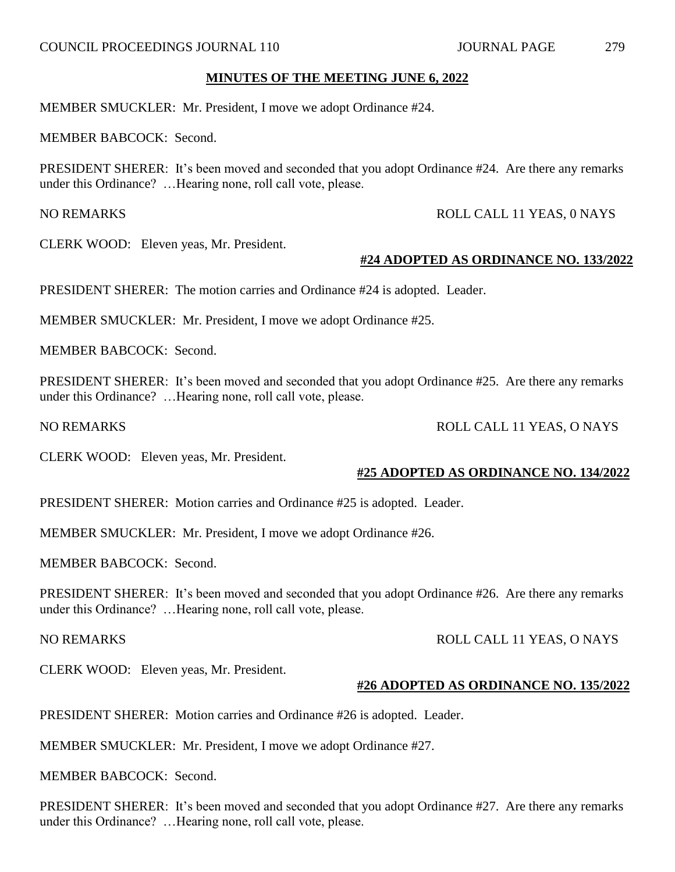MEMBER SMUCKLER: Mr. President, I move we adopt Ordinance #24.

MEMBER BABCOCK: Second.

PRESIDENT SHERER: It's been moved and seconded that you adopt Ordinance #24. Are there any remarks under this Ordinance? …Hearing none, roll call vote, please.

NO REMARKS ROLL CALL 11 YEAS, 0 NAYS

CLERK WOOD: Eleven yeas, Mr. President.

#### **#24 ADOPTED AS ORDINANCE NO. 133/2022**

PRESIDENT SHERER: The motion carries and Ordinance #24 is adopted. Leader.

MEMBER SMUCKLER: Mr. President, I move we adopt Ordinance #25.

MEMBER BABCOCK: Second.

PRESIDENT SHERER: It's been moved and seconded that you adopt Ordinance #25. Are there any remarks under this Ordinance? …Hearing none, roll call vote, please.

CLERK WOOD: Eleven yeas, Mr. President.

#### **#25 ADOPTED AS ORDINANCE NO. 134/2022**

PRESIDENT SHERER: Motion carries and Ordinance #25 is adopted. Leader.

MEMBER SMUCKLER: Mr. President, I move we adopt Ordinance #26.

MEMBER BABCOCK: Second.

PRESIDENT SHERER: It's been moved and seconded that you adopt Ordinance #26. Are there any remarks under this Ordinance? …Hearing none, roll call vote, please.

NO REMARKS ROLL CALL 11 YEAS, O NAYS

CLERK WOOD: Eleven yeas, Mr. President.

#### **#26 ADOPTED AS ORDINANCE NO. 135/2022**

PRESIDENT SHERER: Motion carries and Ordinance #26 is adopted. Leader.

MEMBER SMUCKLER: Mr. President, I move we adopt Ordinance #27.

MEMBER BABCOCK: Second.

PRESIDENT SHERER: It's been moved and seconded that you adopt Ordinance #27. Are there any remarks under this Ordinance? …Hearing none, roll call vote, please.

NO REMARKS ROLL CALL 11 YEAS, O NAYS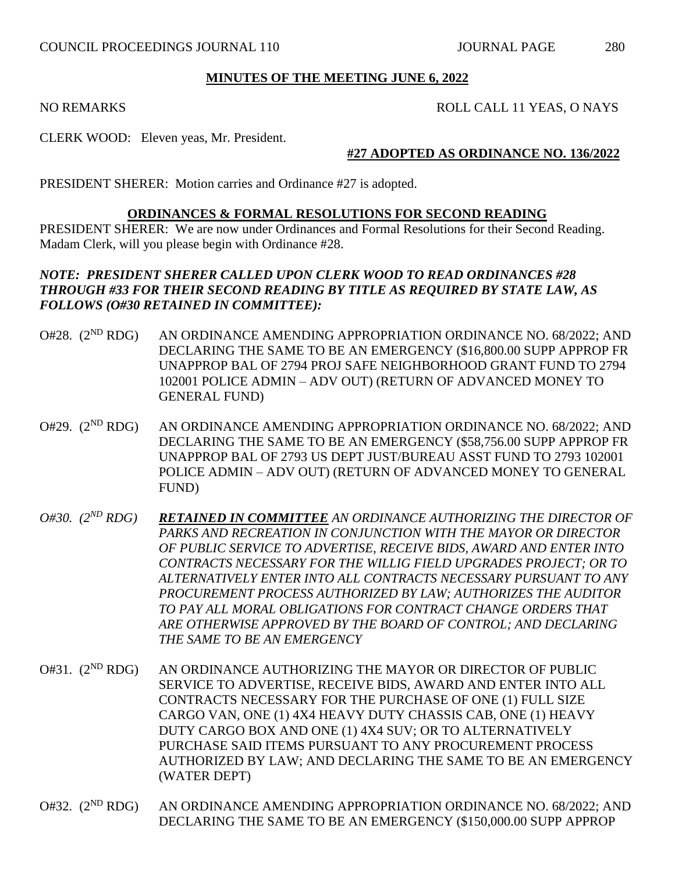#### NO REMARKS ROLL CALL 11 YEAS, O NAYS

CLERK WOOD: Eleven yeas, Mr. President.

#### **#27 ADOPTED AS ORDINANCE NO. 136/2022**

PRESIDENT SHERER: Motion carries and Ordinance #27 is adopted.

## **ORDINANCES & FORMAL RESOLUTIONS FOR SECOND READING**

PRESIDENT SHERER: We are now under Ordinances and Formal Resolutions for their Second Reading. Madam Clerk, will you please begin with Ordinance #28.

## *NOTE: PRESIDENT SHERER CALLED UPON CLERK WOOD TO READ ORDINANCES #28 THROUGH #33 FOR THEIR SECOND READING BY TITLE AS REQUIRED BY STATE LAW, AS FOLLOWS (O#30 RETAINED IN COMMITTEE):*

- O#28.  $(2^{ND} RDG)$ AN ORDINANCE AMENDING APPROPRIATION ORDINANCE NO. 68/2022; AND DECLARING THE SAME TO BE AN EMERGENCY (\$16,800.00 SUPP APPROP FR UNAPPROP BAL OF 2794 PROJ SAFE NEIGHBORHOOD GRANT FUND TO 2794 102001 POLICE ADMIN – ADV OUT) (RETURN OF ADVANCED MONEY TO GENERAL FUND)
- $O#29.$  ( $2^{ND}$  RDG) AN ORDINANCE AMENDING APPROPRIATION ORDINANCE NO. 68/2022; AND DECLARING THE SAME TO BE AN EMERGENCY (\$58,756.00 SUPP APPROP FR UNAPPROP BAL OF 2793 US DEPT JUST/BUREAU ASST FUND TO 2793 102001 POLICE ADMIN – ADV OUT) (RETURN OF ADVANCED MONEY TO GENERAL FUND)
- *O#30. (2ND RDG) RETAINED IN COMMITTEE AN ORDINANCE AUTHORIZING THE DIRECTOR OF PARKS AND RECREATION IN CONJUNCTION WITH THE MAYOR OR DIRECTOR OF PUBLIC SERVICE TO ADVERTISE, RECEIVE BIDS, AWARD AND ENTER INTO CONTRACTS NECESSARY FOR THE WILLIG FIELD UPGRADES PROJECT; OR TO ALTERNATIVELY ENTER INTO ALL CONTRACTS NECESSARY PURSUANT TO ANY PROCUREMENT PROCESS AUTHORIZED BY LAW; AUTHORIZES THE AUDITOR TO PAY ALL MORAL OBLIGATIONS FOR CONTRACT CHANGE ORDERS THAT ARE OTHERWISE APPROVED BY THE BOARD OF CONTROL; AND DECLARING THE SAME TO BE AN EMERGENCY*
- O#31.  $(2^{ND} RDG)$ AN ORDINANCE AUTHORIZING THE MAYOR OR DIRECTOR OF PUBLIC SERVICE TO ADVERTISE, RECEIVE BIDS, AWARD AND ENTER INTO ALL CONTRACTS NECESSARY FOR THE PURCHASE OF ONE (1) FULL SIZE CARGO VAN, ONE (1) 4X4 HEAVY DUTY CHASSIS CAB, ONE (1) HEAVY DUTY CARGO BOX AND ONE (1) 4X4 SUV; OR TO ALTERNATIVELY PURCHASE SAID ITEMS PURSUANT TO ANY PROCUREMENT PROCESS AUTHORIZED BY LAW; AND DECLARING THE SAME TO BE AN EMERGENCY (WATER DEPT)
- O#32. (2<sup>ND</sup> RDG) AN ORDINANCE AMENDING APPROPRIATION ORDINANCE NO. 68/2022: AND DECLARING THE SAME TO BE AN EMERGENCY (\$150,000.00 SUPP APPROP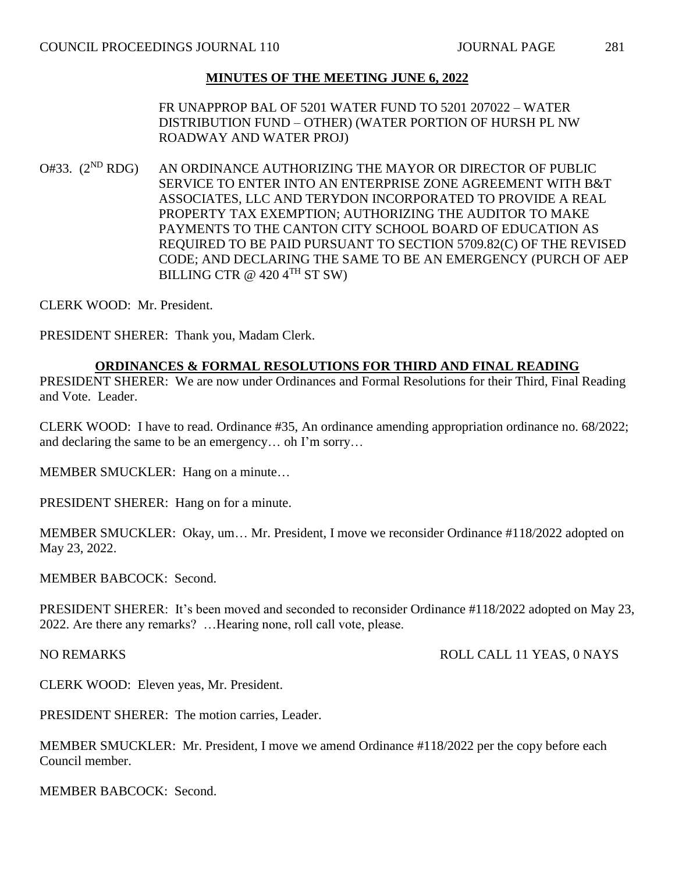FR UNAPPROP BAL OF 5201 WATER FUND TO 5201 207022 – WATER DISTRIBUTION FUND – OTHER) (WATER PORTION OF HURSH PL NW ROADWAY AND WATER PROJ)

 $O#33.$   $(2^{ND}$  RDG) AN ORDINANCE AUTHORIZING THE MAYOR OR DIRECTOR OF PUBLIC SERVICE TO ENTER INTO AN ENTERPRISE ZONE AGREEMENT WITH B&T ASSOCIATES, LLC AND TERYDON INCORPORATED TO PROVIDE A REAL PROPERTY TAX EXEMPTION; AUTHORIZING THE AUDITOR TO MAKE PAYMENTS TO THE CANTON CITY SCHOOL BOARD OF EDUCATION AS REQUIRED TO BE PAID PURSUANT TO SECTION 5709.82(C) OF THE REVISED CODE; AND DECLARING THE SAME TO BE AN EMERGENCY (PURCH OF AEP BILLING CTR  $@$  420 4<sup>TH</sup> ST SW)

CLERK WOOD: Mr. President.

PRESIDENT SHERER: Thank you, Madam Clerk.

## **ORDINANCES & FORMAL RESOLUTIONS FOR THIRD AND FINAL READING**

PRESIDENT SHERER: We are now under Ordinances and Formal Resolutions for their Third, Final Reading and Vote. Leader.

CLERK WOOD: I have to read. Ordinance #35, An ordinance amending appropriation ordinance no. 68/2022; and declaring the same to be an emergency… oh I'm sorry…

MEMBER SMUCKLER: Hang on a minute…

PRESIDENT SHERER: Hang on for a minute.

MEMBER SMUCKLER: Okay, um… Mr. President, I move we reconsider Ordinance #118/2022 adopted on May 23, 2022.

MEMBER BABCOCK: Second.

PRESIDENT SHERER: It's been moved and seconded to reconsider Ordinance #118/2022 adopted on May 23, 2022. Are there any remarks? …Hearing none, roll call vote, please.

NO REMARKS ROLL CALL 11 YEAS, 0 NAYS

CLERK WOOD: Eleven yeas, Mr. President.

PRESIDENT SHERER: The motion carries, Leader.

MEMBER SMUCKLER: Mr. President, I move we amend Ordinance #118/2022 per the copy before each Council member.

MEMBER BABCOCK: Second.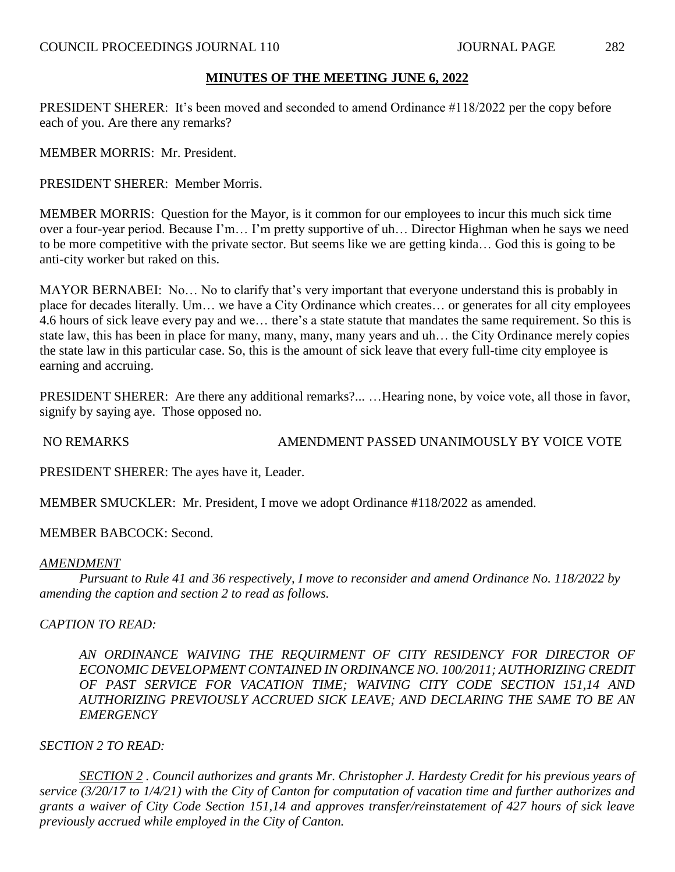PRESIDENT SHERER: It's been moved and seconded to amend Ordinance #118/2022 per the copy before each of you. Are there any remarks?

MEMBER MORRIS: Mr. President.

PRESIDENT SHERER: Member Morris.

MEMBER MORRIS: Question for the Mayor, is it common for our employees to incur this much sick time over a four-year period. Because I'm… I'm pretty supportive of uh… Director Highman when he says we need to be more competitive with the private sector. But seems like we are getting kinda… God this is going to be anti-city worker but raked on this.

MAYOR BERNABEI: No… No to clarify that's very important that everyone understand this is probably in place for decades literally. Um… we have a City Ordinance which creates… or generates for all city employees 4.6 hours of sick leave every pay and we… there's a state statute that mandates the same requirement. So this is state law, this has been in place for many, many, many, many years and uh… the City Ordinance merely copies the state law in this particular case. So, this is the amount of sick leave that every full-time city employee is earning and accruing.

PRESIDENT SHERER: Are there any additional remarks?... ... Hearing none, by voice vote, all those in favor, signify by saying aye. Those opposed no.

NO REMARKS AMENDMENT PASSED UNANIMOUSLY BY VOICE VOTE

PRESIDENT SHERER: The ayes have it, Leader.

MEMBER SMUCKLER: Mr. President, I move we adopt Ordinance #118/2022 as amended.

MEMBER BABCOCK: Second.

#### *AMENDMENT*

*Pursuant to Rule 41 and 36 respectively, I move to reconsider and amend Ordinance No. 118/2022 by amending the caption and section 2 to read as follows.*

*CAPTION TO READ:*

AN ORDINANCE WAIVING THE REQUIRMENT OF CITY RESIDENCY FOR DIRECTOR OF *ECONOMIC DEVELOPMENT CONTAINED IN ORDINANCE NO. 100/2011; AUTHORIZING CREDIT OF PAST SERVICE FOR VACATION TIME; WAIVING CITY CODE SECTION 151,14 AND AUTHORIZING PREVIOUSLY ACCRUED SICK LEAVE; AND DECLARING THE SAME TO BE AN EMERGENCY*

#### *SECTION 2 TO READ:*

*SECTION 2 . Council authorizes and grants Mr. Christopher J. Hardesty Credit for his previous years of service (3/20/17 to 1/4/21) with the City of Canton for computation of vacation time and further authorizes and grants a waiver of City Code Section 151,14 and approves transfer/reinstatement of 427 hours of sick leave previously accrued while employed in the City of Canton.*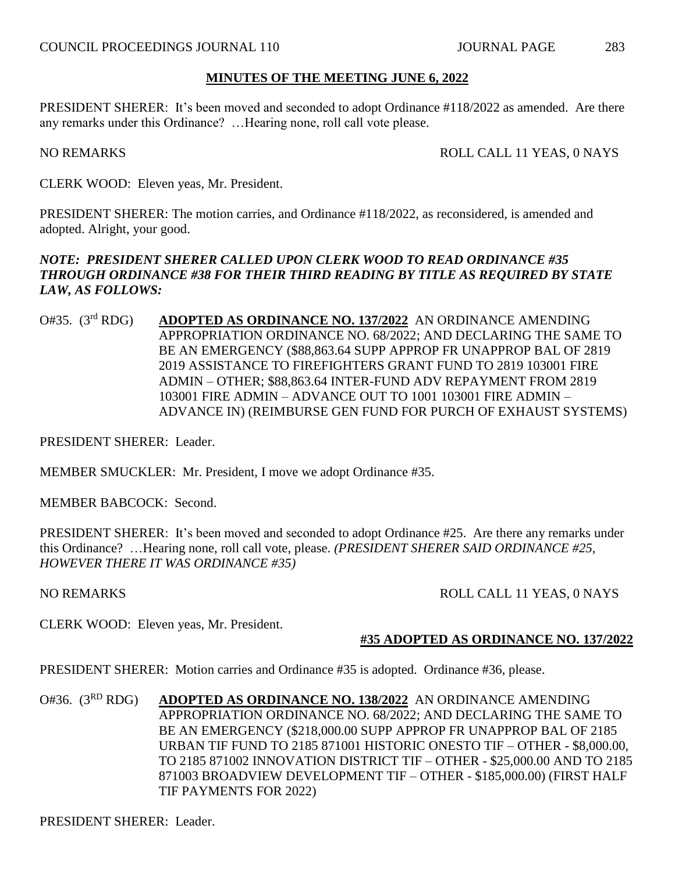PRESIDENT SHERER: It's been moved and seconded to adopt Ordinance #118/2022 as amended. Are there any remarks under this Ordinance? …Hearing none, roll call vote please.

NO REMARKS ROLL CALL 11 YEAS, 0 NAYS

CLERK WOOD: Eleven yeas, Mr. President.

PRESIDENT SHERER: The motion carries, and Ordinance #118/2022, as reconsidered, is amended and adopted. Alright, your good.

## *NOTE: PRESIDENT SHERER CALLED UPON CLERK WOOD TO READ ORDINANCE #35 THROUGH ORDINANCE #38 FOR THEIR THIRD READING BY TITLE AS REQUIRED BY STATE LAW, AS FOLLOWS:*

O#35. (3rd RDG) **ADOPTED AS ORDINANCE NO. 137/2022** AN ORDINANCE AMENDING APPROPRIATION ORDINANCE NO. 68/2022; AND DECLARING THE SAME TO BE AN EMERGENCY (\$88,863.64 SUPP APPROP FR UNAPPROP BAL OF 2819 2019 ASSISTANCE TO FIREFIGHTERS GRANT FUND TO 2819 103001 FIRE ADMIN – OTHER; \$88,863.64 INTER-FUND ADV REPAYMENT FROM 2819 103001 FIRE ADMIN – ADVANCE OUT TO 1001 103001 FIRE ADMIN – ADVANCE IN) (REIMBURSE GEN FUND FOR PURCH OF EXHAUST SYSTEMS)

PRESIDENT SHERER: Leader.

MEMBER SMUCKLER: Mr. President, I move we adopt Ordinance #35.

MEMBER BABCOCK: Second.

PRESIDENT SHERER: It's been moved and seconded to adopt Ordinance #25. Are there any remarks under this Ordinance? …Hearing none, roll call vote, please. *(PRESIDENT SHERER SAID ORDINANCE #25, HOWEVER THERE IT WAS ORDINANCE #35)*

NO REMARKS ROLL CALL 11 YEAS, 0 NAYS

CLERK WOOD: Eleven yeas, Mr. President.

## **#35 ADOPTED AS ORDINANCE NO. 137/2022**

PRESIDENT SHERER: Motion carries and Ordinance #35 is adopted. Ordinance #36, please.

O#36. (3RD RDG) **ADOPTED AS ORDINANCE NO. 138/2022** AN ORDINANCE AMENDING APPROPRIATION ORDINANCE NO. 68/2022; AND DECLARING THE SAME TO BE AN EMERGENCY (\$218,000.00 SUPP APPROP FR UNAPPROP BAL OF 2185 URBAN TIF FUND TO 2185 871001 HISTORIC ONESTO TIF – OTHER - \$8,000.00, TO 2185 871002 INNOVATION DISTRICT TIF – OTHER - \$25,000.00 AND TO 2185 871003 BROADVIEW DEVELOPMENT TIF – OTHER - \$185,000.00) (FIRST HALF TIF PAYMENTS FOR 2022)

PRESIDENT SHERER: Leader.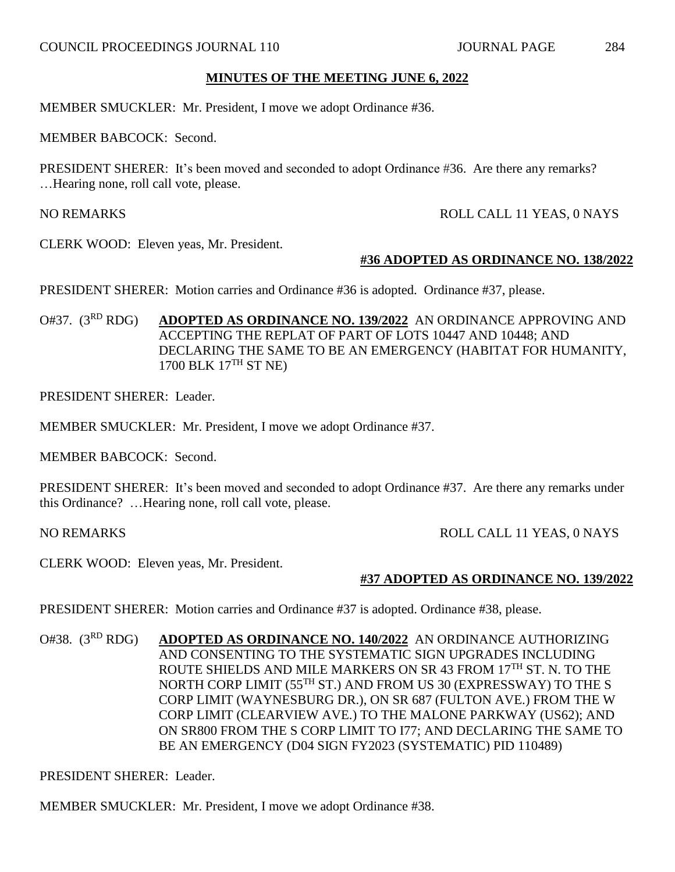MEMBER SMUCKLER: Mr. President, I move we adopt Ordinance #36.

MEMBER BABCOCK: Second.

PRESIDENT SHERER: It's been moved and seconded to adopt Ordinance #36. Are there any remarks? …Hearing none, roll call vote, please.

NO REMARKS ROLL CALL 11 YEAS, 0 NAYS

CLERK WOOD: Eleven yeas, Mr. President.

#### **#36 ADOPTED AS ORDINANCE NO. 138/2022**

PRESIDENT SHERER: Motion carries and Ordinance #36 is adopted. Ordinance #37, please.

O#37. (3RD RDG) **ADOPTED AS ORDINANCE NO. 139/2022** AN ORDINANCE APPROVING AND ACCEPTING THE REPLAT OF PART OF LOTS 10447 AND 10448; AND DECLARING THE SAME TO BE AN EMERGENCY (HABITAT FOR HUMANITY, 1700 BLK 17TH ST NE)

PRESIDENT SHERER: Leader.

MEMBER SMUCKLER: Mr. President, I move we adopt Ordinance #37.

MEMBER BABCOCK: Second.

PRESIDENT SHERER: It's been moved and seconded to adopt Ordinance #37. Are there any remarks under this Ordinance? …Hearing none, roll call vote, please.

NO REMARKS ROLL CALL 11 YEAS, 0 NAYS

CLERK WOOD: Eleven yeas, Mr. President.

#### **#37 ADOPTED AS ORDINANCE NO. 139/2022**

PRESIDENT SHERER: Motion carries and Ordinance #37 is adopted. Ordinance #38, please.

O#38. (3RD RDG) **ADOPTED AS ORDINANCE NO. 140/2022** AN ORDINANCE AUTHORIZING AND CONSENTING TO THE SYSTEMATIC SIGN UPGRADES INCLUDING ROUTE SHIELDS AND MILE MARKERS ON SR 43 FROM 17TH ST. N. TO THE NORTH CORP LIMIT (55TH ST.) AND FROM US 30 (EXPRESSWAY) TO THE S CORP LIMIT (WAYNESBURG DR.), ON SR 687 (FULTON AVE.) FROM THE W CORP LIMIT (CLEARVIEW AVE.) TO THE MALONE PARKWAY (US62); AND ON SR800 FROM THE S CORP LIMIT TO I77; AND DECLARING THE SAME TO BE AN EMERGENCY (D04 SIGN FY2023 (SYSTEMATIC) PID 110489)

PRESIDENT SHERER: Leader.

MEMBER SMUCKLER: Mr. President, I move we adopt Ordinance #38.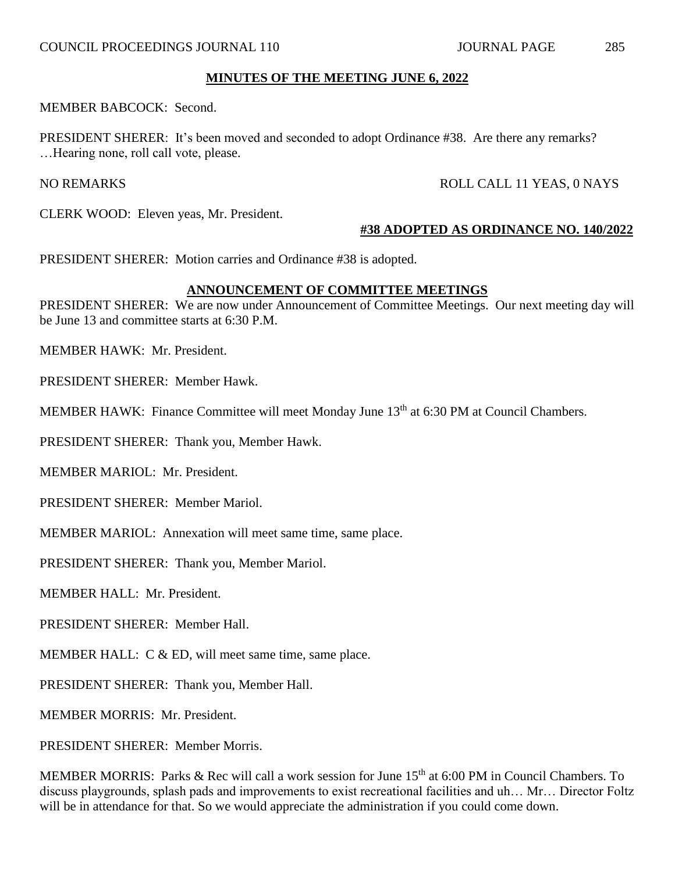MEMBER BABCOCK: Second.

PRESIDENT SHERER: It's been moved and seconded to adopt Ordinance #38. Are there any remarks? …Hearing none, roll call vote, please.

## NO REMARKS ROLL CALL 11 YEAS, 0 NAYS

CLERK WOOD: Eleven yeas, Mr. President.

## **#38 ADOPTED AS ORDINANCE NO. 140/2022**

PRESIDENT SHERER: Motion carries and Ordinance #38 is adopted.

## **ANNOUNCEMENT OF COMMITTEE MEETINGS**

PRESIDENT SHERER: We are now under Announcement of Committee Meetings. Our next meeting day will be June 13 and committee starts at 6:30 P.M.

MEMBER HAWK: Mr. President.

PRESIDENT SHERER: Member Hawk.

MEMBER HAWK: Finance Committee will meet Monday June 13<sup>th</sup> at 6:30 PM at Council Chambers.

PRESIDENT SHERER: Thank you, Member Hawk.

MEMBER MARIOL: Mr. President.

PRESIDENT SHERER: Member Mariol.

MEMBER MARIOL: Annexation will meet same time, same place.

PRESIDENT SHERER: Thank you, Member Mariol.

MEMBER HALL: Mr. President.

PRESIDENT SHERER: Member Hall.

MEMBER HALL: C & ED, will meet same time, same place.

PRESIDENT SHERER: Thank you, Member Hall.

MEMBER MORRIS: Mr. President.

PRESIDENT SHERER: Member Morris.

MEMBER MORRIS: Parks & Rec will call a work session for June 15<sup>th</sup> at 6:00 PM in Council Chambers. To discuss playgrounds, splash pads and improvements to exist recreational facilities and uh… Mr… Director Foltz will be in attendance for that. So we would appreciate the administration if you could come down.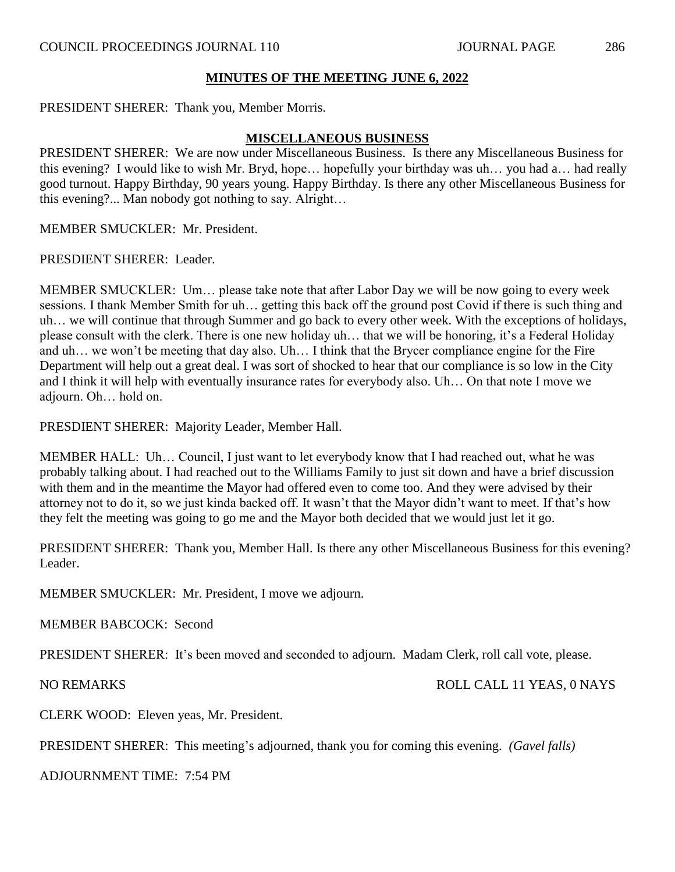PRESIDENT SHERER: Thank you, Member Morris.

#### **MISCELLANEOUS BUSINESS**

PRESIDENT SHERER: We are now under Miscellaneous Business. Is there any Miscellaneous Business for this evening? I would like to wish Mr. Bryd, hope… hopefully your birthday was uh… you had a… had really good turnout. Happy Birthday, 90 years young. Happy Birthday. Is there any other Miscellaneous Business for this evening?... Man nobody got nothing to say. Alright…

MEMBER SMUCKLER: Mr. President.

PRESDIENT SHERER: Leader.

MEMBER SMUCKLER: Um… please take note that after Labor Day we will be now going to every week sessions. I thank Member Smith for uh… getting this back off the ground post Covid if there is such thing and uh… we will continue that through Summer and go back to every other week. With the exceptions of holidays, please consult with the clerk. There is one new holiday uh… that we will be honoring, it's a Federal Holiday and uh… we won't be meeting that day also. Uh… I think that the Brycer compliance engine for the Fire Department will help out a great deal. I was sort of shocked to hear that our compliance is so low in the City and I think it will help with eventually insurance rates for everybody also. Uh… On that note I move we adjourn. Oh… hold on.

PRESDIENT SHERER: Majority Leader, Member Hall.

MEMBER HALL: Uh… Council, I just want to let everybody know that I had reached out, what he was probably talking about. I had reached out to the Williams Family to just sit down and have a brief discussion with them and in the meantime the Mayor had offered even to come too. And they were advised by their attorney not to do it, so we just kinda backed off. It wasn't that the Mayor didn't want to meet. If that's how they felt the meeting was going to go me and the Mayor both decided that we would just let it go.

PRESIDENT SHERER: Thank you, Member Hall. Is there any other Miscellaneous Business for this evening? Leader.

MEMBER SMUCKLER: Mr. President, I move we adjourn.

MEMBER BABCOCK: Second

PRESIDENT SHERER: It's been moved and seconded to adjourn. Madam Clerk, roll call vote, please.

NO REMARKS ROLL CALL 11 YEAS, 0 NAYS

CLERK WOOD: Eleven yeas, Mr. President.

PRESIDENT SHERER: This meeting's adjourned, thank you for coming this evening. *(Gavel falls)*

ADJOURNMENT TIME: 7:54 PM